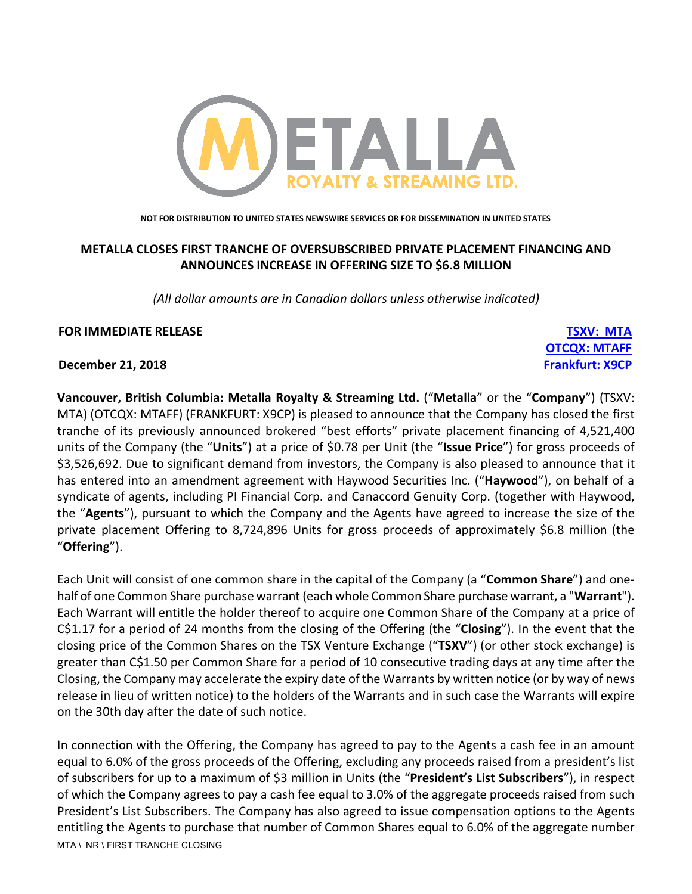

**NOT FOR DISTRIBUTION TO UNITED STATES NEWSWIRE SERVICES OR FOR DISSEMINATION IN UNITED STATES**

# **METALLA CLOSES FIRST TRANCHE OF OVERSUBSCRIBED PRIVATE PLACEMENT FINANCING AND ANNOUNCES INCREASE IN OFFERING SIZE TO \$6.8 MILLION**

*(All dollar amounts are in Canadian dollars unless otherwise indicated)*

**OTCQX: MTAFF**

# **FOR IMMEDIATE RELEASE TSXV: MTA**

**December 21, 2018 Frankfurt: X9CP**

**Vancouver, British Columbia: Metalla Royalty & Streaming Ltd.** ("**Metalla**" or the "**Company**") (TSXV: MTA) (OTCQX: MTAFF) (FRANKFURT: X9CP) is pleased to announce that the Company has closed the first tranche of its previously announced brokered "best efforts" private placement financing of 4,521,400 units of the Company (the "**Units**") at a price of \$0.78 per Unit (the "**Issue Price**") for gross proceeds of \$3,526,692. Due to significant demand from investors, the Company is also pleased to announce that it has entered into an amendment agreement with Haywood Securities Inc. ("**Haywood**"), on behalf of a syndicate of agents, including PI Financial Corp. and Canaccord Genuity Corp. (together with Haywood, the "**Agents**"), pursuant to which the Company and the Agents have agreed to increase the size of the private placement Offering to 8,724,896 Units for gross proceeds of approximately \$6.8 million (the "**Offering**").

Each Unit will consist of one common share in the capital of the Company (a "**Common Share**") and onehalf of one Common Share purchase warrant (each whole Common Share purchase warrant, a "**Warrant**"). Each Warrant will entitle the holder thereof to acquire one Common Share of the Company at a price of C\$1.17 for a period of 24 months from the closing of the Offering (the "**Closing**"). In the event that the closing price of the Common Shares on the TSX Venture Exchange ("**TSXV**") (or other stock exchange) is greater than C\$1.50 per Common Share for a period of 10 consecutive trading days at any time after the Closing, the Company may accelerate the expiry date of the Warrants by written notice (or by way of news release in lieu of written notice) to the holders of the Warrants and in such case the Warrants will expire on the 30th day after the date of such notice.

MTA \ NR \ FIRST TRANCHE CLOSING In connection with the Offering, the Company has agreed to pay to the Agents a cash fee in an amount equal to 6.0% of the gross proceeds of the Offering, excluding any proceeds raised from a president's list of subscribers for up to a maximum of \$3 million in Units (the "**President's List Subscribers**"), in respect of which the Company agrees to pay a cash fee equal to 3.0% of the aggregate proceeds raised from such President's List Subscribers. The Company has also agreed to issue compensation options to the Agents entitling the Agents to purchase that number of Common Shares equal to 6.0% of the aggregate number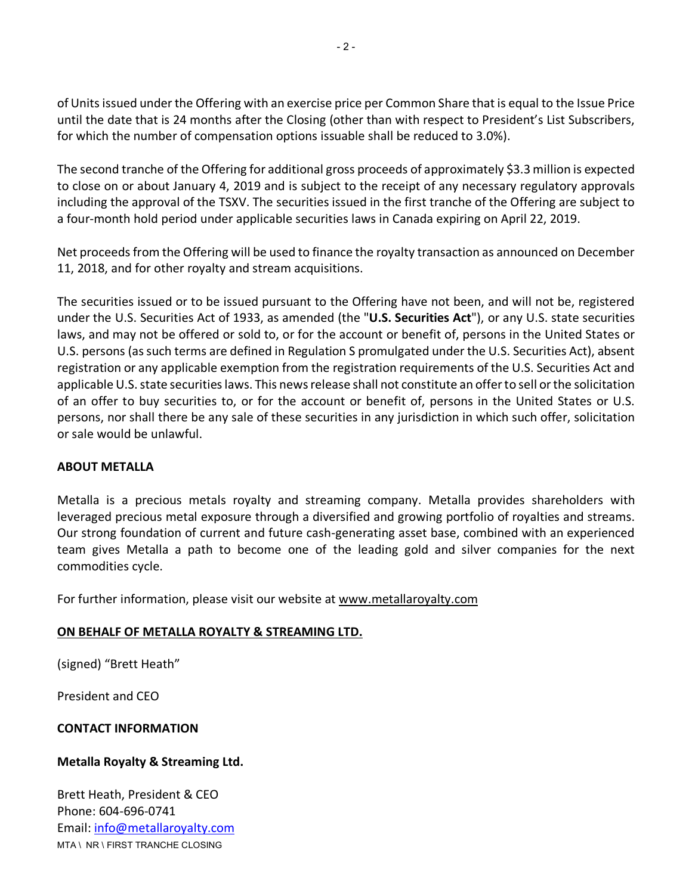of Units issued under the Offering with an exercise price per Common Share that is equal to the Issue Price until the date that is 24 months after the Closing (other than with respect to President's List Subscribers, for which the number of compensation options issuable shall be reduced to 3.0%).

The second tranche of the Offering for additional gross proceeds of approximately \$3.3 million is expected to close on or about January 4, 2019 and is subject to the receipt of any necessary regulatory approvals including the approval of the TSXV. The securities issued in the first tranche of the Offering are subject to a four-month hold period under applicable securities laws in Canada expiring on April 22, 2019.

Net proceeds from the Offering will be used to finance the royalty transaction as announced on December 11, 2018, and for other royalty and stream acquisitions.

The securities issued or to be issued pursuant to the Offering have not been, and will not be, registered under the U.S. Securities Act of 1933, as amended (the "**U.S. Securities Act**"), or any U.S. state securities laws, and may not be offered or sold to, or for the account or benefit of, persons in the United States or U.S. persons (as such terms are defined in Regulation S promulgated under the U.S. Securities Act), absent registration or any applicable exemption from the registration requirements of the U.S. Securities Act and applicable U.S. state securities laws. This news release shall not constitute an offer to sell or the solicitation of an offer to buy securities to, or for the account or benefit of, persons in the United States or U.S. persons, nor shall there be any sale of these securities in any jurisdiction in which such offer, solicitation or sale would be unlawful.

# **ABOUT METALLA**

Metalla is a precious metals royalty and streaming company. Metalla provides shareholders with leveraged precious metal exposure through a diversified and growing portfolio of royalties and streams. Our strong foundation of current and future cash-generating asset base, combined with an experienced team gives Metalla a path to become one of the leading gold and silver companies for the next commodities cycle.

For further information, please visit our website at www.metallaroyalty.com

# **ON BEHALF OF METALLA ROYALTY & STREAMING LTD.**

(signed) "Brett Heath"

President and CEO

# **CONTACT INFORMATION**

# **Metalla Royalty & Streaming Ltd.**

MTA \ NR \ FIRST TRANCHE CLOSING Brett Heath, President & CEO Phone: 604-696-0741 Email: info@metallaroyalty.com